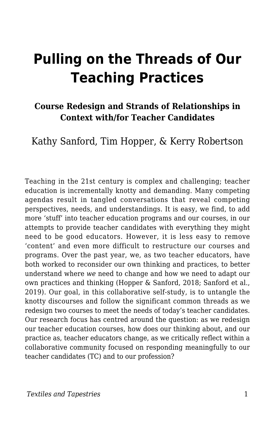# **Pulling on the Threads of Our Teaching Practices**

### **Course Redesign and Strands of Relationships in Context with/for Teacher Candidates**

### Kathy Sanford, Tim Hopper, & Kerry Robertson

Teaching in the 21st century is complex and challenging; teacher education is incrementally knotty and demanding. Many competing agendas result in tangled conversations that reveal competing perspectives, needs, and understandings. It is easy, we find, to add more 'stuff' into teacher education programs and our courses, in our attempts to provide teacher candidates with everything they might need to be good educators. However, it is less easy to remove 'content' and even more difficult to restructure our courses and programs. Over the past year, we, as two teacher educators, have both worked to reconsider our own thinking and practices, to better understand where *we* need to change and how we need to adapt our own practices and thinking (Hopper & Sanford, 2018; Sanford et al., 2019). Our goal, in this collaborative self-study, is to untangle the knotty discourses and follow the significant common threads as we redesign two courses to meet the needs of today's teacher candidates. Our research focus has centred around the question: as we redesign our teacher education courses, how does our thinking about, and our practice as, teacher educators change, as we critically reflect within a collaborative community focused on responding meaningfully to our teacher candidates (TC) and to our profession?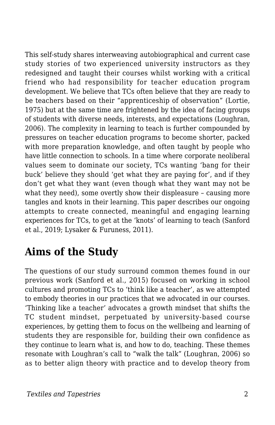This self-study shares interweaving autobiographical and current case study stories of two experienced university instructors as they redesigned and taught their courses whilst working with a critical friend who had responsibility for teacher education program development. We believe that TCs often believe that they are ready to be teachers based on their "apprenticeship of observation" (Lortie, 1975) but at the same time are frightened by the idea of facing groups of students with diverse needs, interests, and expectations (Loughran, 2006). The complexity in learning to teach is further compounded by pressures on teacher education programs to become shorter, packed with more preparation knowledge, and often taught by people who have little connection to schools. In a time where corporate neoliberal values seem to dominate our society, TCs wanting 'bang for their buck' believe they should 'get what they are paying for', and if they don't get what they want (even though what they want may not be what they need), some overtly show their displeasure – causing more tangles and knots in their learning. This paper describes our ongoing attempts to create connected, meaningful and engaging learning experiences for TCs, to get at the 'knots' of learning to teach (Sanford et al., 2019; Lysaker & Furuness, 2011).

## **Aims of the Study**

The questions of our study surround common themes found in our previous work (Sanford et al., 2015) focused on working in school cultures and promoting TCs to 'think like a teacher', as we attempted to embody theories in our practices that we advocated in our courses. 'Thinking like a teacher' advocates a growth mindset that shifts the TC student mindset, perpetuated by university-based course experiences, by getting them to focus on the wellbeing and learning of students they are responsible for, building their own confidence as they continue to learn what is, and how to do, teaching. These themes resonate with Loughran's call to "walk the talk" (Loughran, 2006) so as to better align theory with practice and to develop theory from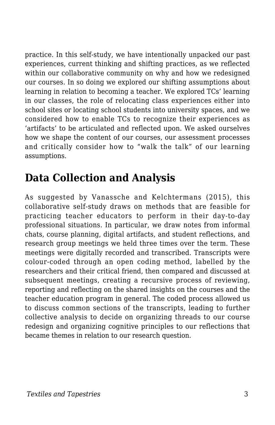practice. In this self-study, we have intentionally unpacked our past experiences, current thinking and shifting practices, as we reflected within our collaborative community on why and how we redesigned our courses. In so doing we explored our shifting assumptions about learning in relation to becoming a teacher. We explored TCs' learning in our classes, the role of relocating class experiences either into school sites or locating school students into university spaces, and we considered how to enable TCs to recognize their experiences as 'artifacts' to be articulated and reflected upon. We asked ourselves how we shape the content of our courses, our assessment processes and critically consider how to "walk the talk" of our learning assumptions.

## **Data Collection and Analysis**

As suggested by Vanassche and Kelchtermans (2015), this collaborative self-study draws on methods that are feasible for practicing teacher educators to perform in their day-to-day professional situations. In particular, we draw notes from informal chats, course planning, digital artifacts, and student reflections, and research group meetings we held three times over the term. These meetings were digitally recorded and transcribed. Transcripts were colour-coded through an open coding method, labelled by the researchers and their critical friend, then compared and discussed at subsequent meetings, creating a recursive process of reviewing, reporting and reflecting on the shared insights on the courses and the teacher education program in general. The coded process allowed us to discuss common sections of the transcripts, leading to further collective analysis to decide on organizing threads to our course redesign and organizing cognitive principles to our reflections that became themes in relation to our research question.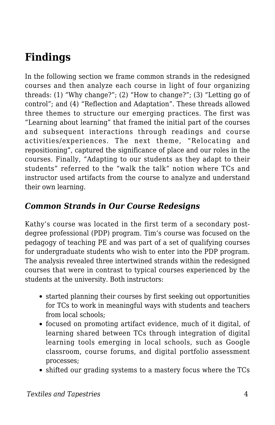## **Findings**

In the following section we frame common strands in the redesigned courses and then analyze each course in light of four organizing threads: (1) "Why change?"; (2) "How to change?"; (3) "Letting go of control"; and (4) "Reflection and Adaptation". These threads allowed three themes to structure our emerging practices. The first was "Learning about learning" that framed the initial part of the courses and subsequent interactions through readings and course activities/experiences. The next theme, "Relocating and repositioning", captured the significance of place and our roles in the courses. Finally, "Adapting to our students as they adapt to their students" referred to the "walk the talk" notion where TCs and instructor used artifacts from the course to analyze and understand their own learning.

#### *Common Strands in Our Course Redesigns*

Kathy's course was located in the first term of a secondary postdegree professional (PDP) program. Tim's course was focused on the pedagogy of teaching PE and was part of a set of qualifying courses for undergraduate students who wish to enter into the PDP program. The analysis revealed three intertwined strands within the redesigned courses that were in contrast to typical courses experienced by the students at the university. Both instructors:

- started planning their courses by first seeking out opportunities for TCs to work in meaningful ways with students and teachers from local schools;
- focused on promoting artifact evidence, much of it digital, of learning shared between TCs through integration of digital learning tools emerging in local schools, such as Google classroom, course forums, and digital portfolio assessment processes;
- shifted our grading systems to a mastery focus where the TCs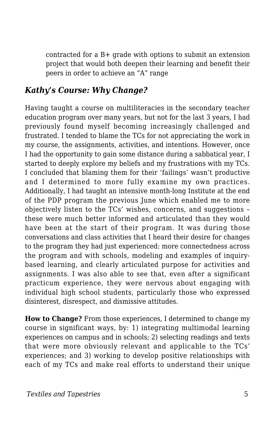contracted for a B+ grade with options to submit an extension project that would both deepen their learning and benefit their peers in order to achieve an "A" range

#### *Kathy's Course: Why Change?*

Having taught a course on multiliteracies in the secondary teacher education program over many years, but not for the last 3 years, I had previously found myself becoming increasingly challenged and frustrated. I tended to blame the TCs for not appreciating the work in my course, the assignments, activities, and intentions. However, once I had the opportunity to gain some distance during a sabbatical year, I started to deeply explore my beliefs and my frustrations with my TCs. I concluded that blaming them for their 'failings' wasn't productive and I determined to more fully examine my own practices. Additionally, I had taught an intensive month-long Institute at the end of the PDP program the previous June which enabled me to more objectively listen to the TCs' wishes, concerns, and suggestions – these were much better informed and articulated than they would have been at the start of their program. It was during those conversations and class activities that I heard their desire for changes to the program they had just experienced: more connectedness across the program and with schools, modeling and examples of inquirybased learning, and clearly articulated purpose for activities and assignments. I was also able to see that, even after a significant practicum experience, they were nervous about engaging with individual high school students, particularly those who expressed disinterest, disrespect, and dismissive attitudes.

**How to Change?** From those experiences, I determined to change my course in significant ways, by: 1) integrating multimodal learning experiences on campus and in schools; 2) selecting readings and texts that were more obviously relevant and applicable to the TCs' experiences; and 3) working to develop positive relationships with each of my TCs and make real efforts to understand their unique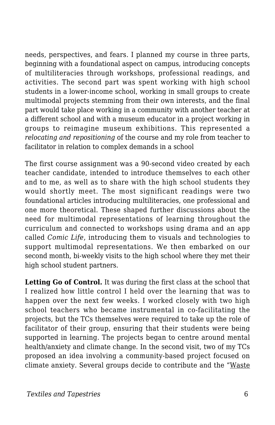needs, perspectives, and fears. I planned my course in three parts, beginning with a foundational aspect on campus, introducing concepts of multiliteracies through workshops, professional readings, and activities. The second part was spent working with high school students in a lower-income school, working in small groups to create multimodal projects stemming from their own interests, and the final part would take place working in a community with another teacher at a different school and with a museum educator in a project working in groups to reimagine museum exhibitions. This represented a *relocating and repositioning* of the course and my role from teacher to facilitator in relation to complex demands in a school

The first course assignment was a 90-second video created by each teacher candidate, intended to introduce themselves to each other and to me, as well as to share with the high school students they would shortly meet. The most significant readings were two foundational articles introducing multiliteracies, one professional and one more theoretical. These shaped further discussions about the need for multimodal representations of learning throughout the curriculum and connected to workshops using drama and an app called *Comic Life*, introducing them to visuals and technologies to support multimodal representations. We then embarked on our second month, bi-weekly visits to the high school where they met their high school student partners.

Letting Go of Control. It was during the first class at the school that I realized how little control I held over the learning that was to happen over the next few weeks. I worked closely with two high school teachers who became instrumental in co-facilitating the projects, but the TCs themselves were required to take up the role of facilitator of their group, ensuring that their students were being supported in learning. The projects began to centre around mental health/anxiety and climate change. In the second visit, two of my TCs proposed an idea involving a community-based project focused on climate anxiety. Several groups decide to contribute and the "Waste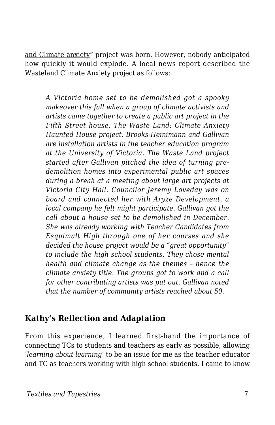and Climate anxiety" project was born. However, nobody anticipated how quickly it would explode. A local news report described the Wasteland Climate Anxiety project as follows:

*A Victoria home set to be demolished got a spooky makeover this fall when a group of climate activists and artists came together to create a public art project in the Fifth Street house. The Waste Land: Climate Anxiety Haunted House project. Brooks-Heinimann and Gallivan are installation artists in the teacher education program at the University of Victoria. The Waste Land project started after Gallivan pitched the idea of turning predemolition homes into experimental public art spaces during a break at a meeting about large art projects at Victoria City Hall. Councilor Jeremy Loveday was on board and connected her with Aryze Development, a local company he felt might participate. Gallivan got the call about a house set to be demolished in December. She was already working with Teacher Candidates from Esquimalt High through one of her courses and she decided the house project would be a "great opportunity" to include the high school students. They chose mental health and climate change as the themes – hence the climate anxiety title. The groups got to work and a call for other contributing artists was put out. Gallivan noted that the number of community artists reached about 50.*

#### **Kathy's Reflection and Adaptation**

From this experience, I learned first-hand the importance of connecting TCs to students and teachers as early as possible, allowing '*learning about learning'* to be an issue for me as the teacher educator and TC as teachers working with high school students. I came to know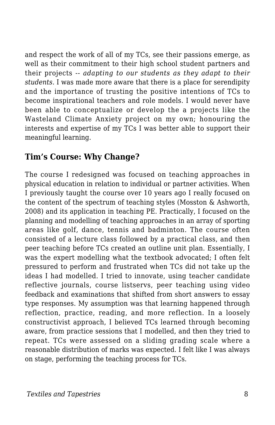and respect the work of all of my TCs, see their passions emerge, as well as their commitment to their high school student partners and their projects -- *adapting to our students as they adapt to their students*. I was made more aware that there is a place for serendipity and the importance of trusting the positive intentions of TCs to become inspirational teachers and role models. I would never have been able to conceptualize or develop the a projects like the Wasteland Climate Anxiety project on my own; honouring the interests and expertise of my TCs I was better able to support their meaningful learning.

#### **Tim's Course: Why Change?**

The course I redesigned was focused on teaching approaches in physical education in relation to individual or partner activities. When I previously taught the course over 10 years ago I really focused on the content of the spectrum of teaching styles (Mosston & Ashworth, 2008) and its application in teaching PE. Practically, I focused on the planning and modelling of teaching approaches in an array of sporting areas like golf, dance, tennis and badminton. The course often consisted of a lecture class followed by a practical class, and then peer teaching before TCs created an outline unit plan. Essentially, I was the expert modelling what the textbook advocated; I often felt pressured to perform and frustrated when TCs did not take up the ideas I had modelled. I tried to innovate, using teacher candidate reflective journals, course listservs, peer teaching using video feedback and examinations that shifted from short answers to essay type responses. My assumption was that learning happened through reflection, practice, reading, and more reflection. In a loosely constructivist approach, I believed TCs learned through becoming aware, from practice sessions that I modelled, and then they tried to repeat. TCs were assessed on a sliding grading scale where a reasonable distribution of marks was expected. I felt like I was always on stage, performing the teaching process for TCs.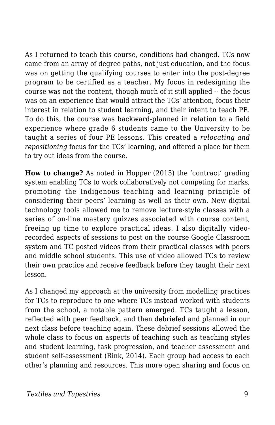As I returned to teach this course, conditions had changed. TCs now came from an array of degree paths, not just education, and the focus was on getting the qualifying courses to enter into the post-degree program to be certified as a teacher. My focus in redesigning the course was not the content, though much of it still applied -- the focus was on an experience that would attract the TCs' attention, focus their interest in relation to student learning, and their intent to teach PE. To do this, the course was backward-planned in relation to a field experience where grade 6 students came to the University to be taught a series of four PE lessons. This created a *relocating and repositioning* focus for the TCs' learning, and offered a place for them to try out ideas from the course.

**How to change?** As noted in Hopper (2015) the 'contract' grading system enabling TCs to work collaboratively not competing for marks, promoting the Indigenous teaching and learning principle of considering their peers' learning as well as their own. New digital technology tools allowed me to remove lecture-style classes with a series of on-line mastery quizzes associated with course content, freeing up time to explore practical ideas. I also digitally videorecorded aspects of sessions to post on the course Google Classroom system and TC posted videos from their practical classes with peers and middle school students. This use of video allowed TCs to review their own practice and receive feedback before they taught their next lesson.

As I changed my approach at the university from modelling practices for TCs to reproduce to one where TCs instead worked with students from the school, a notable pattern emerged. TCs taught a lesson, reflected with peer feedback, and then debriefed and planned in our next class before teaching again. These debrief sessions allowed the whole class to focus on aspects of teaching such as teaching styles and student learning, task progression, and teacher assessment and student self-assessment (Rink, 2014). Each group had access to each other's planning and resources. This more open sharing and focus on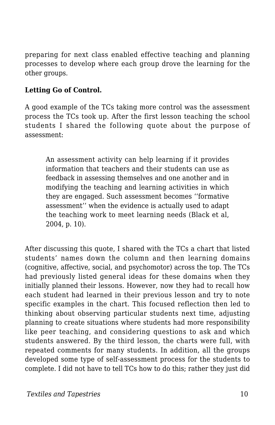preparing for next class enabled effective teaching and planning processes to develop where each group drove the learning for the other groups.

#### **Letting Go of Control.**

A good example of the TCs taking more control was the assessment process the TCs took up. After the first lesson teaching the school students I shared the following quote about the purpose of assessment:

An assessment activity can help learning if it provides information that teachers and their students can use as feedback in assessing themselves and one another and in modifying the teaching and learning activities in which they are engaged. Such assessment becomes ''formative assessment'' when the evidence is actually used to adapt the teaching work to meet learning needs (Black et al, 2004, p. 10).

After discussing this quote, I shared with the TCs a chart that listed students' names down the column and then learning domains (cognitive, affective, social, and psychomotor) across the top. The TCs had previously listed general ideas for these domains when they initially planned their lessons. However, now they had to recall how each student had learned in their previous lesson and try to note specific examples in the chart. This focused reflection then led to thinking about observing particular students next time, adjusting planning to create situations where students had more responsibility like peer teaching, and considering questions to ask and which students answered. By the third lesson, the charts were full, with repeated comments for many students. In addition, all the groups developed some type of self-assessment process for the students to complete. I did not have to tell TCs how to do this; rather they just did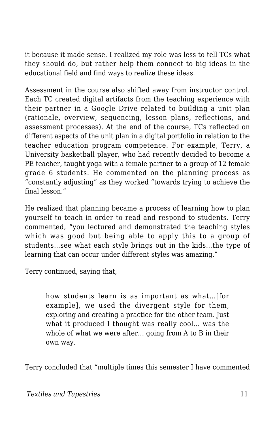it because it made sense. I realized my role was less to tell TCs what they should do, but rather help them connect to big ideas in the educational field and find ways to realize these ideas.

Assessment in the course also shifted away from instructor control. Each TC created digital artifacts from the teaching experience with their partner in a Google Drive related to building a unit plan (rationale, overview, sequencing, lesson plans, reflections, and assessment processes). At the end of the course, TCs reflected on different aspects of the unit plan in a digital portfolio in relation to the teacher education program competence. For example, Terry, a University basketball player, who had recently decided to become a PE teacher, taught yoga with a female partner to a group of 12 female grade 6 students. He commented on the planning process as "constantly adjusting" as they worked "towards trying to achieve the final lesson."

He realized that planning became a process of learning how to plan yourself to teach in order to read and respond to students. Terry commented, "you lectured and demonstrated the teaching styles which was good but being able to apply this to a group of students…see what each style brings out in the kids…the type of learning that can occur under different styles was amazing."

Terry continued, saying that,

how students learn is as important as what…[for example], we used the divergent style for them, exploring and creating a practice for the other team. Just what it produced I thought was really cool… was the whole of what we were after… going from A to B in their own way.

Terry concluded that "multiple times this semester I have commented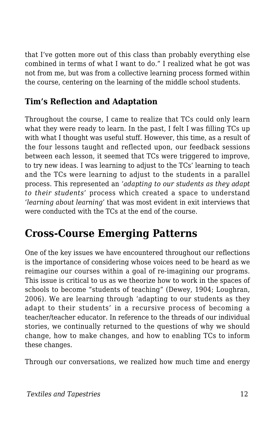that I've gotten more out of this class than probably everything else combined in terms of what I want to do." I realized what he got was not from me, but was from a collective learning process formed within the course, centering on the learning of the middle school students.

#### **Tim's Reflection and Adaptation**

Throughout the course, I came to realize that TCs could only learn what they were ready to learn. In the past, I felt I was filling TCs up with what I thought was useful stuff. However, this time, as a result of the four lessons taught and reflected upon, our feedback sessions between each lesson, it seemed that TCs were triggered to improve, to try new ideas. I was learning to adjust to the TCs' learning to teach and the TCs were learning to adjust to the students in a parallel process. This represented an '*adapting to our students as they adapt to their students*' process which created a space to understand '*learning about learning*' that was most evident in exit interviews that were conducted with the TCs at the end of the course.

### **Cross-Course Emerging Patterns**

One of the key issues we have encountered throughout our reflections is the importance of considering whose voices need to be heard as we reimagine our courses within a goal of re-imagining our programs. This issue is critical to us as we theorize how to work in the spaces of schools to become "students of teaching" (Dewey, 1904; Loughran, 2006). We are learning through 'adapting to our students as they adapt to their students' in a recursive process of becoming a teacher/teacher educator. In reference to the threads of our individual stories, we continually returned to the questions of why we should change, how to make changes, and how to enabling TCs to inform these changes.

Through our conversations, we realized how much time and energy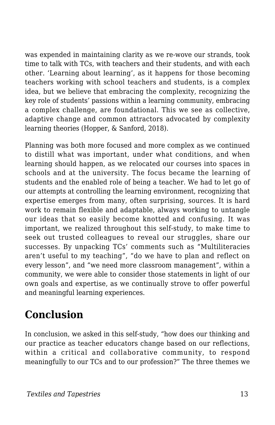was expended in maintaining clarity as we re-wove our strands, took time to talk with TCs, with teachers and their students, and with each other. 'Learning about learning', as it happens for those becoming teachers working with school teachers and students, is a complex idea, but we believe that embracing the complexity, recognizing the key role of students' passions within a learning community, embracing a complex challenge, are foundational. This we see as collective, adaptive change and common attractors advocated by complexity learning theories (Hopper, & Sanford, 2018).

Planning was both more focused and more complex as we continued to distill what was important, under what conditions, and when learning should happen, as we relocated our courses into spaces in schools and at the university. The focus became the learning of students and the enabled role of being a teacher. We had to let go of our attempts at controlling the learning environment, recognizing that expertise emerges from many, often surprising, sources. It is hard work to remain flexible and adaptable, always working to untangle our ideas that so easily become knotted and confusing. It was important, we realized throughout this self-study, to make time to seek out trusted colleagues to reveal our struggles, share our successes. By unpacking TCs' comments such as "Multiliteracies aren't useful to my teaching", "do we have to plan and reflect on every lesson", and "we need more classroom management", within a community, we were able to consider those statements in light of our own goals and expertise, as we continually strove to offer powerful and meaningful learning experiences.

### **Conclusion**

In conclusion, we asked in this self-study, "how does our thinking and our practice as teacher educators change based on our reflections, within a critical and collaborative community, to respond meaningfully to our TCs and to our profession?" The three themes we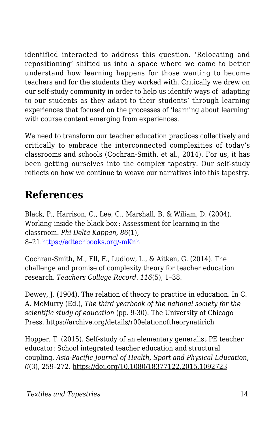identified interacted to address this question. 'Relocating and repositioning' shifted us into a space where we came to better understand how learning happens for those wanting to become teachers and for the students they worked with. Critically we drew on our self-study community in order to help us identify ways of 'adapting to our students as they adapt to their students' through learning experiences that focused on the processes of 'learning about learning' with course content emerging from experiences.

We need to transform our teacher education practices collectively and critically to embrace the interconnected complexities of today's classrooms and schools (Cochran-Smith, et al., 2014). For us, it has been getting ourselves into the complex tapestry. Our self-study reflects on how we continue to weave our narratives into this tapestry.

## **References**

Black, P., Harrison, C., Lee, C., Marshall, B, & Wiliam, D. (2004). Working inside the black box : Assessment for learning in the classroom. *Phi Delta Kappan*, *86*(1), 8–21.[https://edtechbooks.org/-mKnh](https://doi.org/10.1177/003172170408600105)

Cochran-Smith, M., Ell, F., Ludlow, L., & Aitken, G. (2014). The challenge and promise of complexity theory for teacher education research. *Teachers College Record. 116*(5), 1–38.

Dewey, J. (1904). The relation of theory to practice in education. In C. A. McMurry (Ed.), *The third yearbook of the national society for the scientific study of education* (pp. 9-30). The University of Chicago Press. https://archive.org/details/r00elationoftheorynatirich

Hopper, T. (2015). Self-study of an elementary generalist PE teacher educator: School integrated teacher education and structural coupling. *Asia-Pacific Journal of Health, Sport and Physical Education*, *6*(3), 259–272. https://doi.org/10.1080/18377122.2015.1092723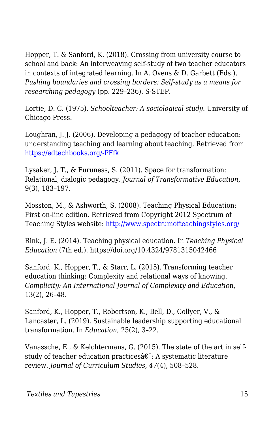Hopper, T. & Sanford, K. (2018). Crossing from university course to school and back: An interweaving self-study of two teacher educators in contexts of integrated learning. In A. Ovens & D. Garbett (Eds.), *Pushing boundaries and crossing borders: Self-study as a means for researching pedagogy* (pp. 229–236). S-STEP.

Lortie, D. C. (1975). *Schoolteacher: A sociological study.* University of Chicago Press.

Loughran, J. J. (2006). Developing a pedagogy of teacher education: understanding teaching and learning about teaching. Retrieved from [https://edtechbooks.org/-PFfk](http://www.loc.gov/catdir/toc/ecip0513/2005014702.html)

Lysaker, J. T., & Furuness, S. (2011). Space for transformation: Relational, dialogic pedagogy. *Journal of Transformative Education*, 9(3), 183–197.

Mosston, M., & Ashworth, S. (2008). Teaching Physical Education: First on-line edition. Retrieved from Copyright 2012 Spectrum of Teaching Styles website:<http://www.spectrumofteachingstyles.org/>

Rink, J. E. (2014). Teaching physical education. In *Teaching Physical Education* (7th ed.). https://doi.org/10.4324/9781315042466

Sanford, K., Hopper, T., & Starr, L. (2015). Transforming teacher education thinking: Complexity and relational ways of knowing. *Complicity: An International Journal of Complexity and Educatio*n, 13(2), 26–48.

Sanford, K., Hopper, T., Robertson, K., Bell, D., Collyer, V., & Lancaster, L. (2019). Sustainable leadership supporting educational transformation. In *Education*, 25(2), 3–22.

Vanassche, E., & Kelchtermans, G. (2015). The state of the art in selfstudy of teacher education practices $\hat{a}\hat{\epsilon}$ : A systematic literature review. *Journal of Curriculum Studies*, *47*(4), 508–528.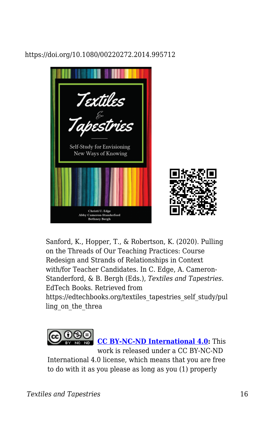#### https://doi.org/10.1080/00220272.2014.995712



Sanford, K., Hopper, T., & Robertson, K. (2020). Pulling on the Threads of Our Teaching Practices: Course Redesign and Strands of Relationships in Context with/for Teacher Candidates. In C. Edge, A. Cameron-Standerford, & B. Bergh (Eds.), *Textiles and Tapestries*. EdTech Books. Retrieved from https://edtechbooks.org/textiles\_tapestries\_self\_study/pul

ling on the threa



**[CC BY-NC-ND International 4.0:](https://creativecommons.org/licenses/by-nc-nd/4.0/)** This work is released under a CC BY-NC-ND International 4.0 license, which means that you are free to do with it as you please as long as you (1) properly